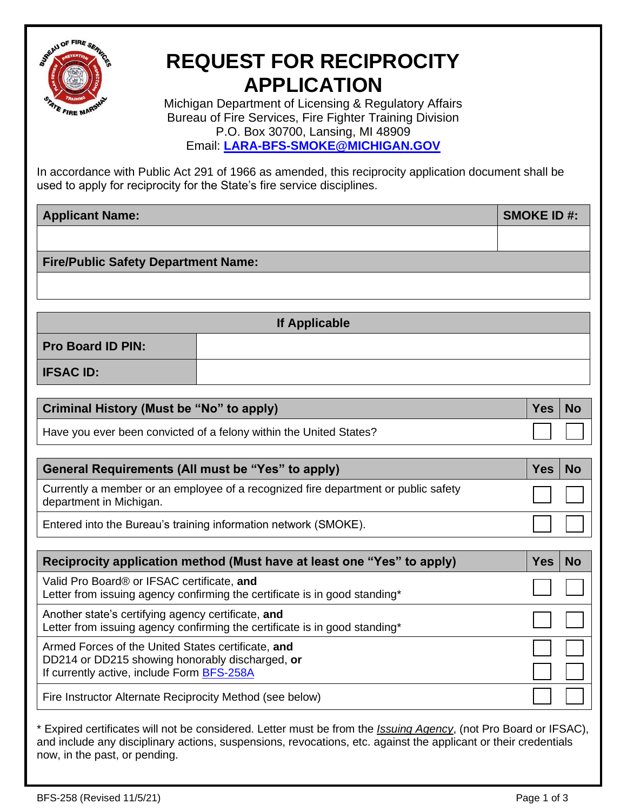

## **REQUEST FOR RECIPROCITY APPLICATION**

Michigan Department of Licensing & Regulatory Affairs Bureau of Fire Services, Fire Fighter Training Division P.O. Box 30700, Lansing, MI 48909 Email: **[LARA-BFS-SMOKE@MICHIGAN.GOV](mailto:LARA-BFS-SMOKE@MICHIGAN.GOV)**

In accordance with [Public Act 291 of 1966 as amended,](http://www.legislature.mi.gov/(S(kscfhtly2jufr1bbot505qu4))/documents/mcl/pdf/mcl-act-291-of-1966.pdf) this reciprocity application document shall be used to apply for reciprocity for the State's fire service disciplines.

| <b>Applicant Name:</b>                     |                      | <b>SMOKE ID#:</b> |
|--------------------------------------------|----------------------|-------------------|
|                                            |                      |                   |
| <b>Fire/Public Safety Department Name:</b> |                      |                   |
|                                            |                      |                   |
|                                            |                      |                   |
|                                            | <b>If Applicable</b> |                   |
| <b>Pro Board ID PIN:</b>                   |                      |                   |
| <b>IFSAC ID:</b>                           |                      |                   |

| <b>Criminal History (Must be "No" to apply)</b>                    | Yes No |               |
|--------------------------------------------------------------------|--------|---------------|
| Have you ever been convicted of a felony within the United States? |        | $\Box$ $\Box$ |

| <b>General Requirements (All must be "Yes" to apply)</b>                                                      | Yes   No     |  |
|---------------------------------------------------------------------------------------------------------------|--------------|--|
| Currently a member or an employee of a recognized fire department or public safety<br>department in Michigan. | <b>TERMS</b> |  |
| Entered into the Bureau's training information network (SMOKE).                                               |              |  |

| Reciprocity application method (Must have at least one "Yes" to apply)                                                                              | Yes |  |
|-----------------------------------------------------------------------------------------------------------------------------------------------------|-----|--|
| Valid Pro Board® or IFSAC certificate, and<br>Letter from issuing agency confirming the certificate is in good standing*                            |     |  |
| Another state's certifying agency certificate, and<br>Letter from issuing agency confirming the certificate is in good standing*                    |     |  |
| Armed Forces of the United States certificate, and<br>DD214 or DD215 showing honorably discharged, or<br>If currently active, include Form BFS-258A |     |  |
| Fire Instructor Alternate Reciprocity Method (see below)                                                                                            |     |  |

\* Expired certificates will not be considered. Letter must be from the *Issuing Agency*, (not Pro Board or IFSAC), and include any disciplinary actions, suspensions, revocations, etc. against the applicant or their credentials now, in the past, or pending.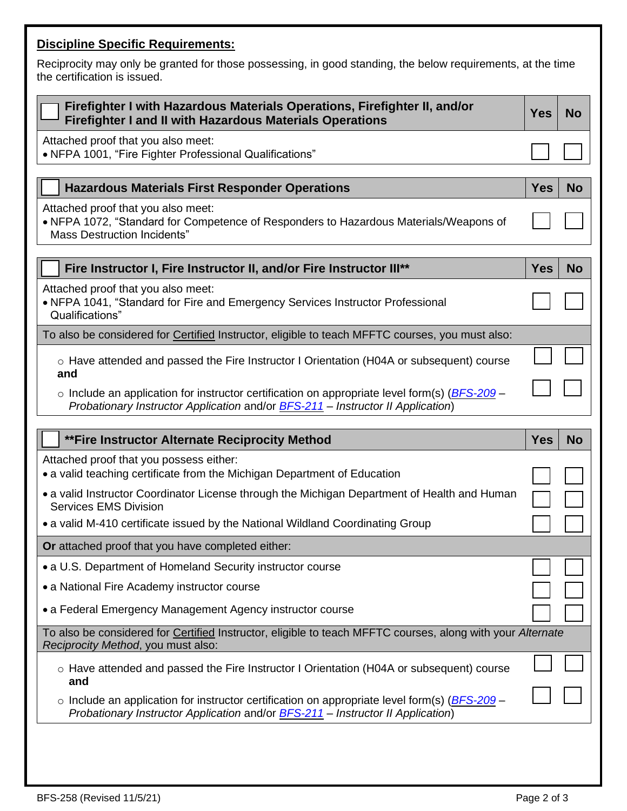## **Discipline Specific Requirements:**

Reciprocity may only be granted for those possessing, in good standing, the below requirements, at the time the certification is issued.

| Firefighter I with Hazardous Materials Operations, Firefighter II, and/or<br><b>Firefighter I and II with Hazardous Materials Operations</b>                                                            | <b>Yes</b> | <b>No</b> |
|---------------------------------------------------------------------------------------------------------------------------------------------------------------------------------------------------------|------------|-----------|
| Attached proof that you also meet:<br>• NFPA 1001, "Fire Fighter Professional Qualifications"                                                                                                           |            |           |
| <b>Hazardous Materials First Responder Operations</b>                                                                                                                                                   | <b>Yes</b> | <b>No</b> |
| Attached proof that you also meet:<br>• NFPA 1072, "Standard for Competence of Responders to Hazardous Materials/Weapons of<br><b>Mass Destruction Incidents"</b>                                       |            |           |
| Fire Instructor I, Fire Instructor II, and/or Fire Instructor III**                                                                                                                                     | <b>Yes</b> | <b>No</b> |
| Attached proof that you also meet:<br>• NFPA 1041, "Standard for Fire and Emergency Services Instructor Professional<br>Qualifications"                                                                 |            |           |
| To also be considered for Certified Instructor, eligible to teach MFFTC courses, you must also:                                                                                                         |            |           |
| ○ Have attended and passed the Fire Instructor I Orientation (H04A or subsequent) course<br>and                                                                                                         |            |           |
| $\circ$ Include an application for instructor certification on appropriate level form(s) ( $BFS-209$ –<br>Probationary Instructor Application and/or <b>BFS-211</b> – Instructor II Application)        |            |           |
|                                                                                                                                                                                                         |            |           |
| **Fire Instructor Alternate Reciprocity Method                                                                                                                                                          | <b>Yes</b> | No        |
| Attached proof that you possess either:<br>• a valid teaching certificate from the Michigan Department of Education                                                                                     |            |           |
| • a valid Instructor Coordinator License through the Michigan Department of Health and Human                                                                                                            |            |           |
| <b>Services EMS Division</b><br>• a valid M-410 certificate issued by the National Wildland Coordinating Group                                                                                          |            |           |
| Or attached proof that you have completed either:                                                                                                                                                       |            |           |
| • a U.S. Department of Homeland Security instructor course                                                                                                                                              |            |           |
| • a National Fire Academy instructor course                                                                                                                                                             |            |           |
| • a Federal Emergency Management Agency instructor course                                                                                                                                               |            |           |
| To also be considered for Certified Instructor, eligible to teach MFFTC courses, along with your Alternate<br>Reciprocity Method, you must also:                                                        |            |           |
| $\circ$ Have attended and passed the Fire Instructor I Orientation (H04A or subsequent) course                                                                                                          |            |           |
| and<br>$\circ$ Include an application for instructor certification on appropriate level form(s) ( $BFS-209$ –<br>Probationary Instructor Application and/or <b>BFS-211</b> - Instructor II Application) |            |           |